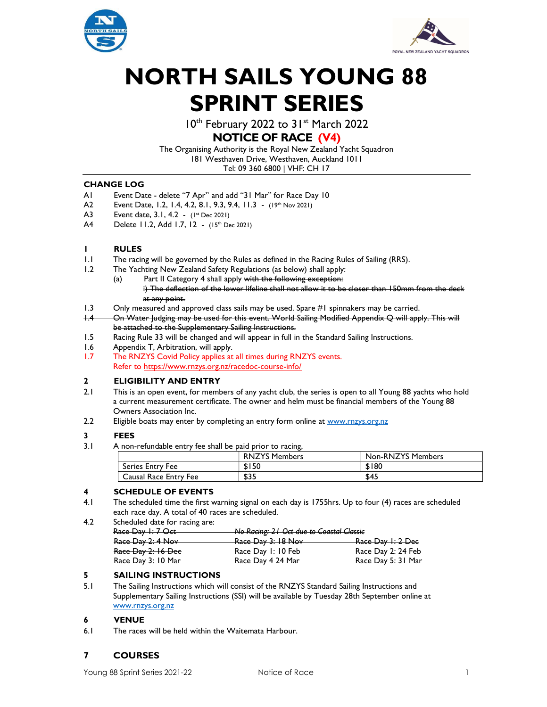



# NORTH SAILS YOUNG 88 SPRINT SERIES

10<sup>th</sup> February 2022 to 31<sup>st</sup> March 2022

# NOTICE OF RACE (V4)

The Organising Authority is the Royal New Zealand Yacht Squadron 181 Westhaven Drive, Westhaven, Auckland 1011 Tel: 09 360 6800 | VHF: CH 17

## CHANGE LOG

- A1 Event Date delete "7 Apr" and add "31 Mar" for Race Day 10
- A2 Event Date, 1.2, 1.4, 4.2, 8.1, 9.3, 9.4, 11.3 (19th Nov 2021)
- A3 Event date, 3.1, 4.2 (1<sup>st</sup> Dec 2021)
- A4 Delete 11.2, Add 1.7, 12 (15<sup>th</sup> Dec 2021)

# 1 RULES

- 1.1 The racing will be governed by the Rules as defined in the Racing Rules of Sailing (RRS).
- 1.2 The Yachting New Zealand Safety Regulations (as below) shall apply:
	- (a) Part II Category 4 shall apply with the following exception:
		- i) The deflection of the lower lifeline shall not allow it to be closer than 150mm from the deck at any point.
- 1.3 Only measured and approved class sails may be used. Spare #1 spinnakers may be carried.
- 1.4 On Water Judging may be used for this event. World Sailing Modified Appendix Q will apply. This will be attached to the Supplementary Sailing Instructions.
- 1.5 Racing Rule 33 will be changed and will appear in full in the Standard Sailing Instructions.
- 1.6 Appendix T, Arbitration, will apply.
- 1.7 The RNZYS Covid Policy applies at all times during RNZYS events. Refer to https://www.rnzys.org.nz/racedoc-course-info/

## 2 ELIGIBILITY AND ENTRY

- 2.1 This is an open event, for members of any yacht club, the series is open to all Young 88 yachts who hold a current measurement certificate. The owner and helm must be financial members of the Young 88 Owners Association Inc.
- 2.2 Eligible boats may enter by completing an entry form online at www.rnzys.org.nz

## 3 FEES

3.1 A non-refundable entry fee shall be paid prior to racing,

|                         | <b>RNZYS Members</b> | Non-RNZYS Members |
|-------------------------|----------------------|-------------------|
| <b>Series Entry Fee</b> | \$150                | \$180             |
| Causal Race Entry Fee   | \$35                 | \$45              |

# 4 SCHEDULE OF EVENTS

- 4.1 The scheduled time the first warning signal on each day is 1755hrs. Up to four (4) races are scheduled each race day. A total of 40 races are scheduled.
- 4.2 Scheduled date for racing are:

| $P_{200}$ Day $1.7$ Oct | No Racing: 21 Oct due to Coastal Classic           |
|-------------------------|----------------------------------------------------|
| $rac{1}{10000}$         | <u>. Two Kacing, 21 Oct dae to Coustul Clussic</u> |

| Race Day 2: 4 Nov  | Race Day 3: 18 Nov<br>Race Day 1: 2 Dee  |
|--------------------|------------------------------------------|
| Race Day 2: 16 Dec | Race Day 2: 24 Feb<br>Race Day 1: 10 Feb |
|                    |                                          |
| Race Day 3: 10 Mar | Race Day 5: 31 Mar<br>Race Day 4 24 Mar  |

## 5 SAILING INSTRUCTIONS

5.1 The Sailing Instructions which will consist of the RNZYS Standard Sailing Instructions and Supplementary Sailing Instructions (SSI) will be available by Tuesday 28th September online at www.rnzys.org.nz

## 6 VENUE

6.1 The races will be held within the Waitemata Harbour.

# 7 COURSES